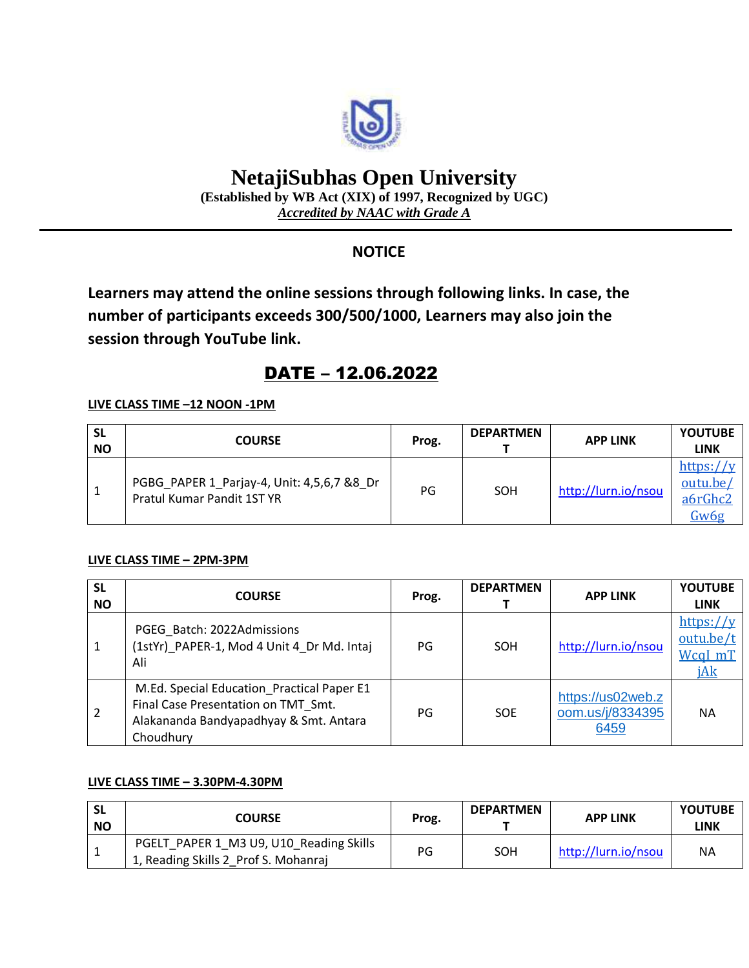

# **NetajiSubhas Open University**

**(Established by WB Act (XIX) of 1997, Recognized by UGC)** *Accredited by NAAC with Grade A*

# **NOTICE**

**Learners may attend the online sessions through following links. In case, the number of participants exceeds 300/500/1000, Learners may also join the session through YouTube link.**

# DATE – 12.06.2022

### **LIVE CLASS TIME –12 NOON -1PM**

| <b>SL</b><br><b>NO</b> | <b>COURSE</b>                                                            | Prog. | <b>DEPARTMEN</b> | <b>APP LINK</b>     | <b>YOUTUBE</b><br>LINK                   |
|------------------------|--------------------------------------------------------------------------|-------|------------------|---------------------|------------------------------------------|
|                        | PGBG_PAPER 1_Parjay-4, Unit: 4,5,6,7 &8_Dr<br>Pratul Kumar Pandit 1ST YR | PG    | SOH              | http://lurn.io/nsou | https://y<br>outu.be/<br>a6rGhc2<br>Gw6g |

#### **LIVE CLASS TIME – 2PM-3PM**

| <b>SL</b><br><b>NO</b> | <b>COURSE</b>                                                                                                                            | Prog. | <b>DEPARTMEN</b> | <b>APP LINK</b>                               | <b>YOUTUBE</b><br><b>LINK</b>            |
|------------------------|------------------------------------------------------------------------------------------------------------------------------------------|-------|------------------|-----------------------------------------------|------------------------------------------|
| 1                      | PGEG Batch: 2022Admissions<br>(1stYr)_PAPER-1, Mod 4 Unit 4 Dr Md. Intai<br>Ali                                                          | PG    | SOH              | http://lurn.io/nsou                           | https://y<br>outu.be/t<br>WcqI mT<br>jAk |
| $\overline{2}$         | M.Ed. Special Education Practical Paper E1<br>Final Case Presentation on TMT Smt.<br>Alakananda Bandyapadhyay & Smt. Antara<br>Choudhury | PG    | <b>SOE</b>       | https://us02web.z<br>oom.us/j/8334395<br>6459 | <b>NA</b>                                |

### **LIVE CLASS TIME – 3.30PM-4.30PM**

| <b>NO</b> | <b>COURSE</b>                                                                   | Prog. | <b>DEPARTMEN</b> | <b>APP LINK</b>     | <b>YOUTUBE</b><br><b>LINK</b> |
|-----------|---------------------------------------------------------------------------------|-------|------------------|---------------------|-------------------------------|
|           | PGELT PAPER 1 M3 U9, U10 Reading Skills<br>1, Reading Skills 2 Prof S. Mohanraj | PG    | SOH              | http://lurn.io/nsou | <b>NA</b>                     |